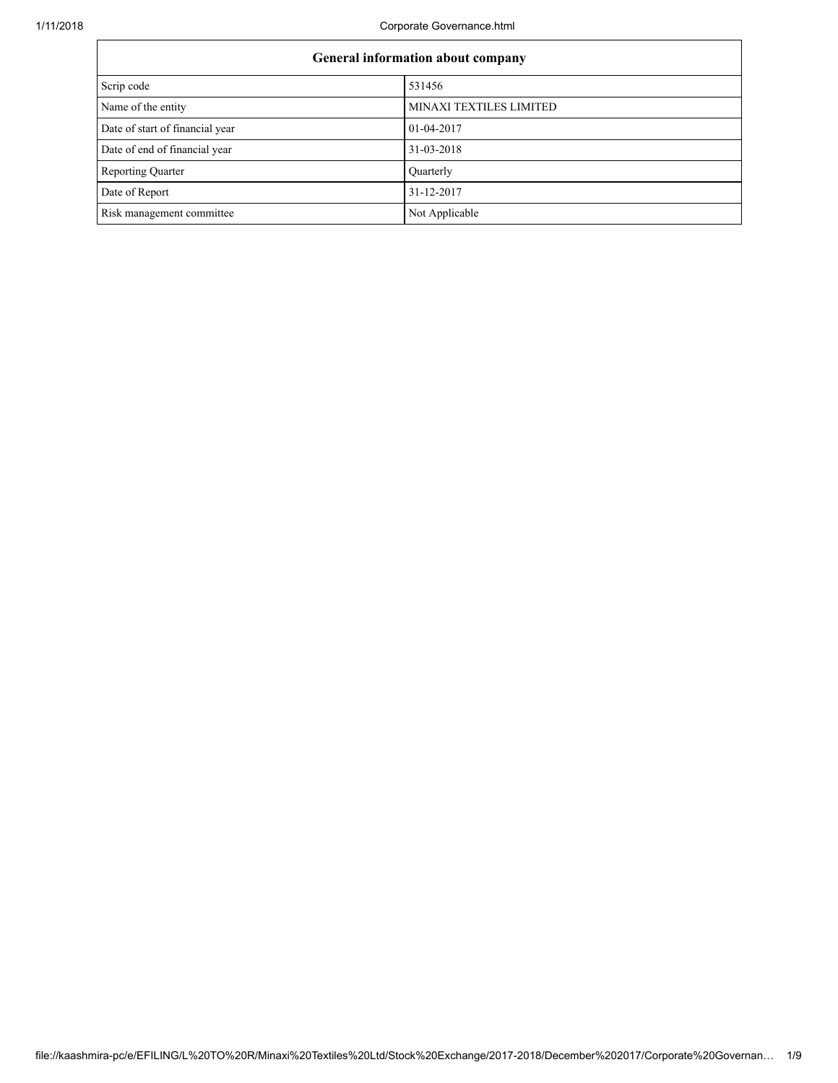| General information about company |                         |  |
|-----------------------------------|-------------------------|--|
| Scrip code                        | 531456                  |  |
| Name of the entity                | MINAXI TEXTILES LIMITED |  |
| Date of start of financial year   | 01-04-2017              |  |
| Date of end of financial year     | 31-03-2018              |  |
| <b>Reporting Quarter</b>          | Quarterly               |  |
| Date of Report                    | 31-12-2017              |  |
| Risk management committee         | Not Applicable          |  |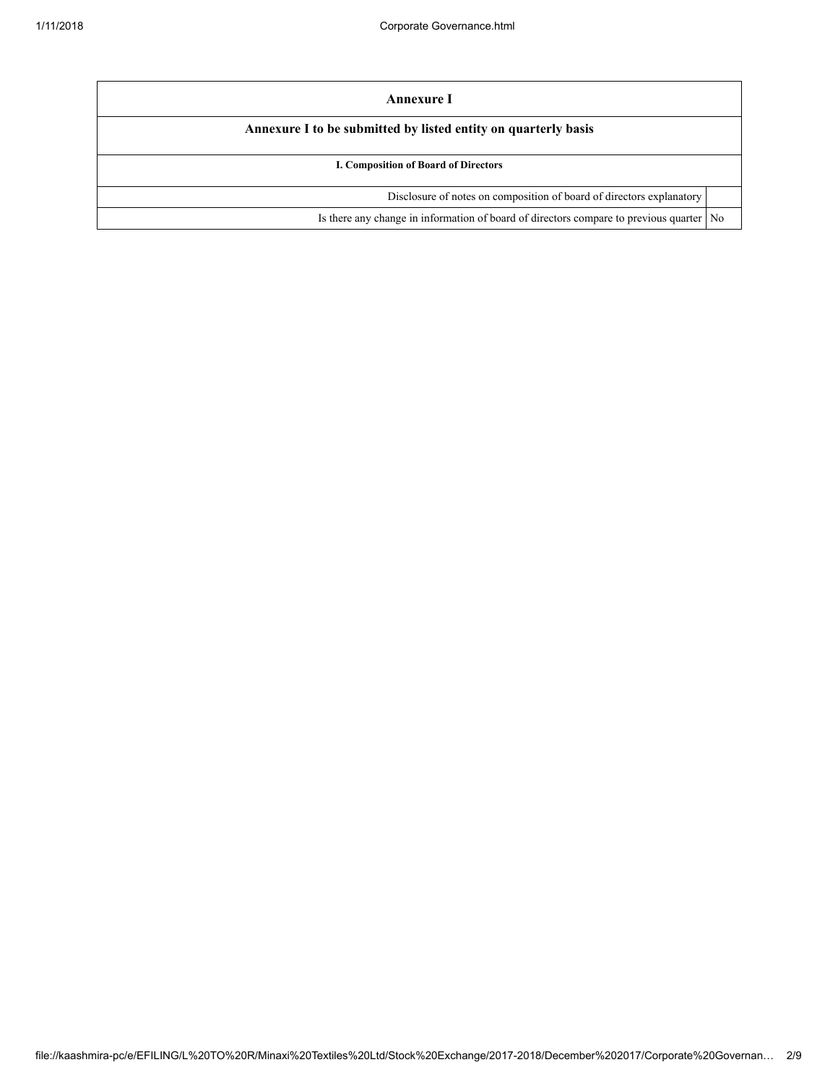| Annexure I                                                                           |                |  |
|--------------------------------------------------------------------------------------|----------------|--|
| Annexure I to be submitted by listed entity on quarterly basis                       |                |  |
| I. Composition of Board of Directors                                                 |                |  |
| Disclosure of notes on composition of board of directors explanatory                 |                |  |
| Is there any change in information of board of directors compare to previous quarter | N <sub>0</sub> |  |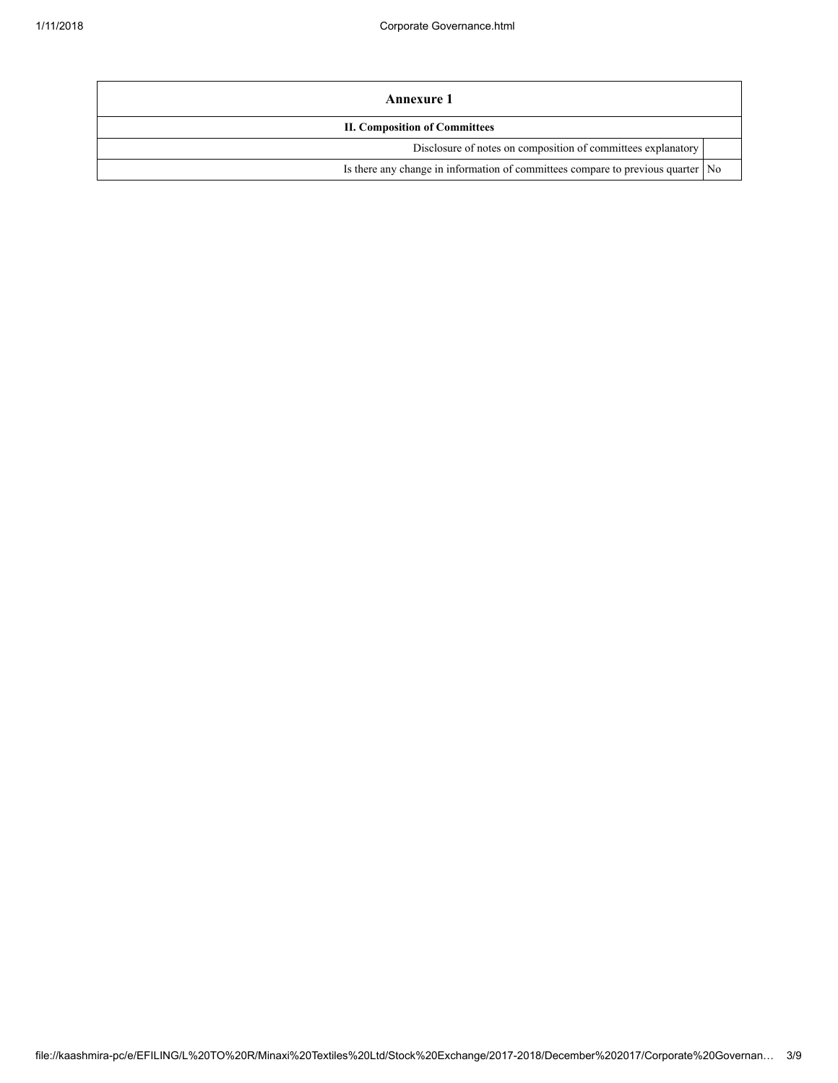| Annexure 1                                                                        |  |  |
|-----------------------------------------------------------------------------------|--|--|
| <b>II. Composition of Committees</b>                                              |  |  |
| Disclosure of notes on composition of committees explanatory                      |  |  |
| Is there any change in information of committees compare to previous quarter   No |  |  |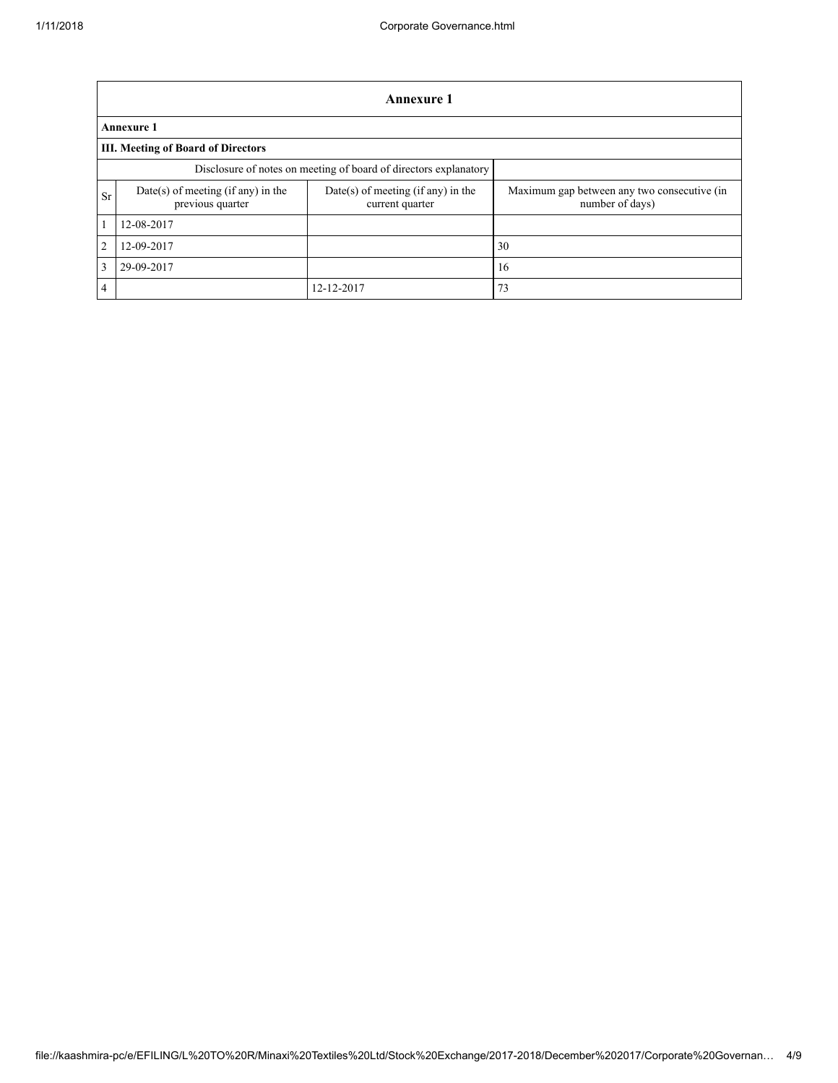|                                                                  | Annexure 1                                               |                                                         |                                                                |  |  |
|------------------------------------------------------------------|----------------------------------------------------------|---------------------------------------------------------|----------------------------------------------------------------|--|--|
|                                                                  | <b>Annexure 1</b>                                        |                                                         |                                                                |  |  |
|                                                                  | <b>III. Meeting of Board of Directors</b>                |                                                         |                                                                |  |  |
| Disclosure of notes on meeting of board of directors explanatory |                                                          |                                                         |                                                                |  |  |
| <b>Sr</b>                                                        | $Date(s)$ of meeting (if any) in the<br>previous quarter | $Date(s)$ of meeting (if any) in the<br>current quarter | Maximum gap between any two consecutive (in<br>number of days) |  |  |
| 1                                                                | 12-08-2017                                               |                                                         |                                                                |  |  |
| 2                                                                | 12-09-2017                                               |                                                         | 30                                                             |  |  |
| 3                                                                | 29-09-2017                                               |                                                         | 16                                                             |  |  |
| $\overline{4}$                                                   |                                                          | 12-12-2017                                              | 73                                                             |  |  |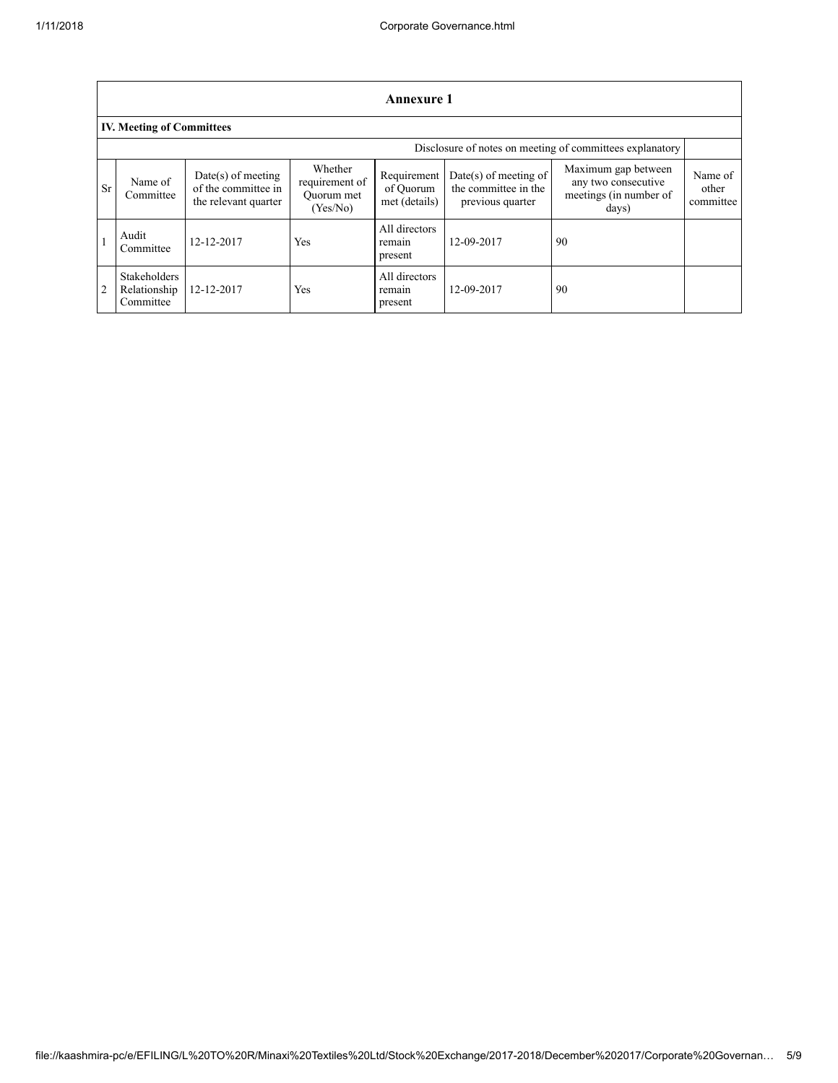|           | <b>Annexure 1</b>                                        |                                                                     |                                                     |                                           |                                                                   |                                                                               |                               |
|-----------|----------------------------------------------------------|---------------------------------------------------------------------|-----------------------------------------------------|-------------------------------------------|-------------------------------------------------------------------|-------------------------------------------------------------------------------|-------------------------------|
|           | <b>IV. Meeting of Committees</b>                         |                                                                     |                                                     |                                           |                                                                   |                                                                               |                               |
|           | Disclosure of notes on meeting of committees explanatory |                                                                     |                                                     |                                           |                                                                   |                                                                               |                               |
| <b>Sr</b> | Name of<br>Committee                                     | $Date(s)$ of meeting<br>of the committee in<br>the relevant quarter | Whether<br>requirement of<br>Ouorum met<br>(Yes/No) | Requirement<br>of Ouorum<br>met (details) | Date(s) of meeting of<br>the committee in the<br>previous quarter | Maximum gap between<br>any two consecutive<br>meetings (in number of<br>days) | Name of<br>other<br>committee |
|           | Audit<br>Committee                                       | 12-12-2017                                                          | Yes                                                 | All directors<br>remain<br>present        | 12-09-2017                                                        | 90                                                                            |                               |
|           | <b>Stakeholders</b><br>Relationship<br>Committee         | 12-12-2017                                                          | Yes                                                 | All directors<br>remain<br>present        | 12-09-2017                                                        | 90                                                                            |                               |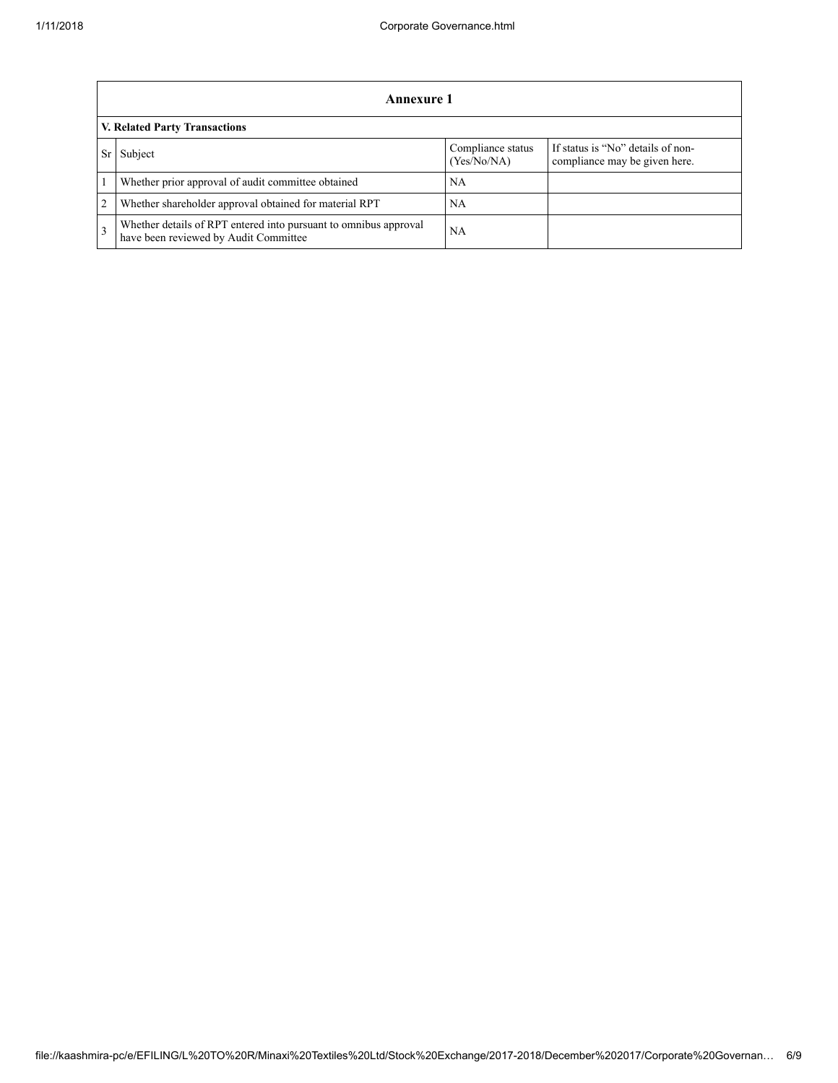|                               | Annexure 1                                                                                                |                                  |                                                                    |  |
|-------------------------------|-----------------------------------------------------------------------------------------------------------|----------------------------------|--------------------------------------------------------------------|--|
| V. Related Party Transactions |                                                                                                           |                                  |                                                                    |  |
|                               | Subject                                                                                                   | Compliance status<br>(Yes/No/NA) | If status is "No" details of non-<br>compliance may be given here. |  |
|                               | Whether prior approval of audit committee obtained                                                        | NA                               |                                                                    |  |
| $\overline{2}$                | Whether shareholder approval obtained for material RPT                                                    | NA                               |                                                                    |  |
| $\mathcal{F}$                 | Whether details of RPT entered into pursuant to omnibus approval<br>have been reviewed by Audit Committee | <b>NA</b>                        |                                                                    |  |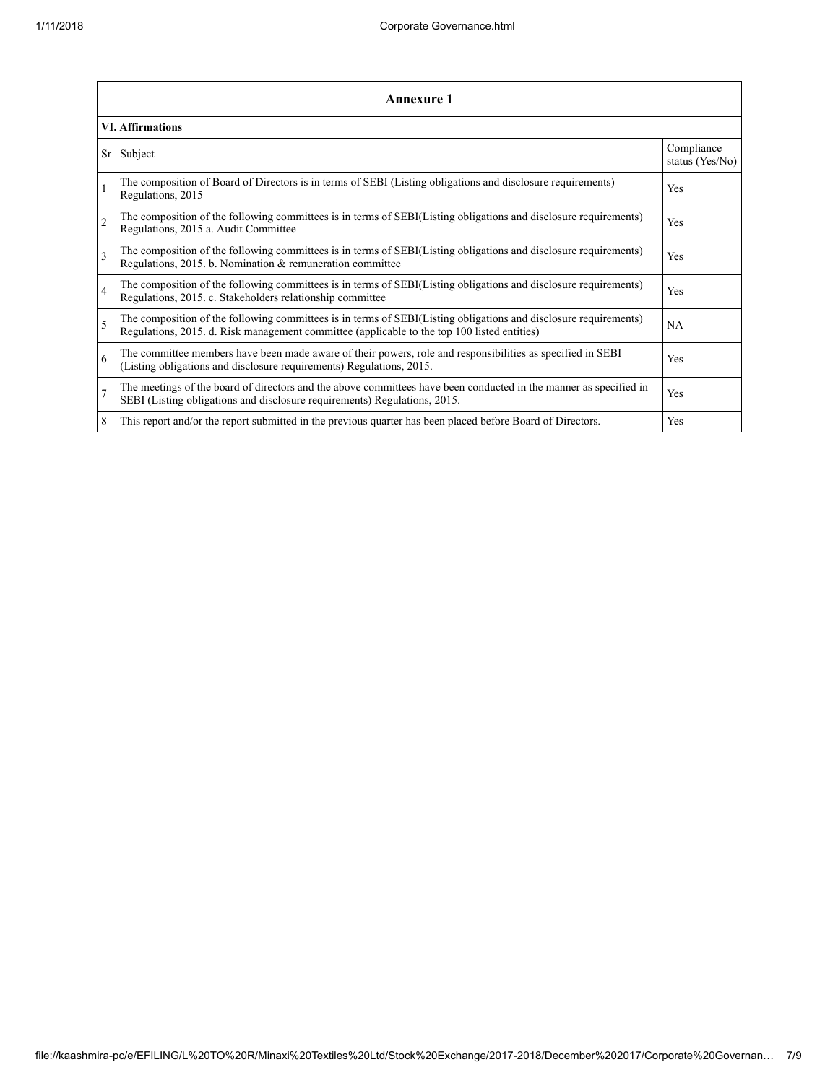|                | Annexure 1                                                                                                                                                                                                      |                               |  |  |  |  |
|----------------|-----------------------------------------------------------------------------------------------------------------------------------------------------------------------------------------------------------------|-------------------------------|--|--|--|--|
|                | <b>VI. Affirmations</b>                                                                                                                                                                                         |                               |  |  |  |  |
| Sr             | Subject                                                                                                                                                                                                         | Compliance<br>status (Yes/No) |  |  |  |  |
|                | The composition of Board of Directors is in terms of SEBI (Listing obligations and disclosure requirements)<br>Regulations, 2015                                                                                | Yes                           |  |  |  |  |
| $\overline{2}$ | The composition of the following committees is in terms of SEBI(Listing obligations and disclosure requirements)<br>Regulations, 2015 a. Audit Committee                                                        | Yes                           |  |  |  |  |
| $\mathbf{3}$   | The composition of the following committees is in terms of SEBI(Listing obligations and disclosure requirements)<br>Regulations, 2015. b. Nomination & remuneration committee                                   | Yes                           |  |  |  |  |
| $\overline{4}$ | The composition of the following committees is in terms of SEBI(Listing obligations and disclosure requirements)<br>Regulations, 2015. c. Stakeholders relationship committee                                   | Yes                           |  |  |  |  |
| 5              | The composition of the following committees is in terms of SEBI(Listing obligations and disclosure requirements)<br>Regulations, 2015. d. Risk management committee (applicable to the top 100 listed entities) | NA                            |  |  |  |  |
| 6              | The committee members have been made aware of their powers, role and responsibilities as specified in SEBI<br>(Listing obligations and disclosure requirements) Regulations, 2015.                              | Yes                           |  |  |  |  |
| $\overline{7}$ | The meetings of the board of directors and the above committees have been conducted in the manner as specified in<br>SEBI (Listing obligations and disclosure requirements) Regulations, 2015.                  | Yes                           |  |  |  |  |
| 8              | This report and/or the report submitted in the previous quarter has been placed before Board of Directors.                                                                                                      | Yes                           |  |  |  |  |